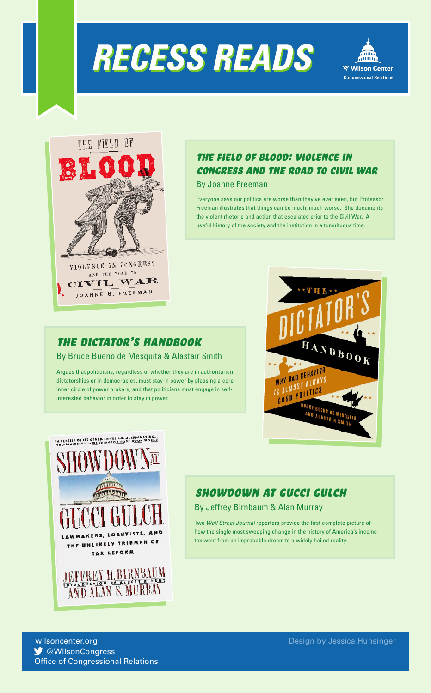





# The Field of Blood: Violence in Congress and the Road to Civil War

By Joanne Freeman

Everyone says our politics are worse than they've ever seen, but Professor Freeman illustrates that things can be much, much worse. She documents the violent rhetoric and action that escalated prior to the Civil War. A useful history of the society and the institution in a tumultuous time.

## THE DICTATOR'S HANDBOOK

By Bruce Bueno de Mesquita & Alastair Smith

Argues that politicians, regardless of whether they are in authoritarian dictatorships or in democracies, must stay in power by pleasing a core inner circle of power brokers, and that politicians must engage in selfinterested behavior in order to stay in power.





# Showdown at gucci gulch

#### By Jeffrey Birnbaum & Alan Murray

Two *Wall Street Journal* reporters provide the first complete picture of how the single most sweeping change in the history of America's income tax went from an improbable dream to a widely hailed reality.